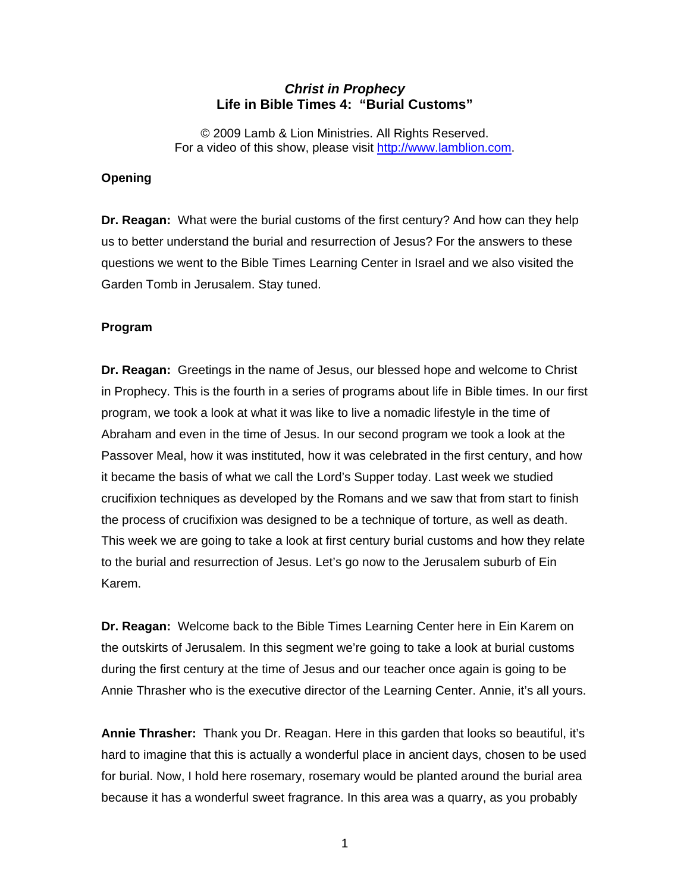## *Christ in Prophecy*  **Life in Bible Times 4: "Burial Customs"**

© 2009 Lamb & Lion Ministries. All Rights Reserved. For a video of this show, please visit [http://www.lamblion.com.](http://www.lamblion.com/)

## **Opening**

**Dr. Reagan:** What were the burial customs of the first century? And how can they help us to better understand the burial and resurrection of Jesus? For the answers to these questions we went to the Bible Times Learning Center in Israel and we also visited the Garden Tomb in Jerusalem. Stay tuned.

## **Program**

**Dr. Reagan:** Greetings in the name of Jesus, our blessed hope and welcome to Christ in Prophecy. This is the fourth in a series of programs about life in Bible times. In our first program, we took a look at what it was like to live a nomadic lifestyle in the time of Abraham and even in the time of Jesus. In our second program we took a look at the Passover Meal, how it was instituted, how it was celebrated in the first century, and how it became the basis of what we call the Lord's Supper today. Last week we studied crucifixion techniques as developed by the Romans and we saw that from start to finish the process of crucifixion was designed to be a technique of torture, as well as death. This week we are going to take a look at first century burial customs and how they relate to the burial and resurrection of Jesus. Let's go now to the Jerusalem suburb of Ein Karem.

**Dr. Reagan:** Welcome back to the Bible Times Learning Center here in Ein Karem on the outskirts of Jerusalem. In this segment we're going to take a look at burial customs during the first century at the time of Jesus and our teacher once again is going to be Annie Thrasher who is the executive director of the Learning Center. Annie, it's all yours.

**Annie Thrasher:** Thank you Dr. Reagan. Here in this garden that looks so beautiful, it's hard to imagine that this is actually a wonderful place in ancient days, chosen to be used for burial. Now, I hold here rosemary, rosemary would be planted around the burial area because it has a wonderful sweet fragrance. In this area was a quarry, as you probably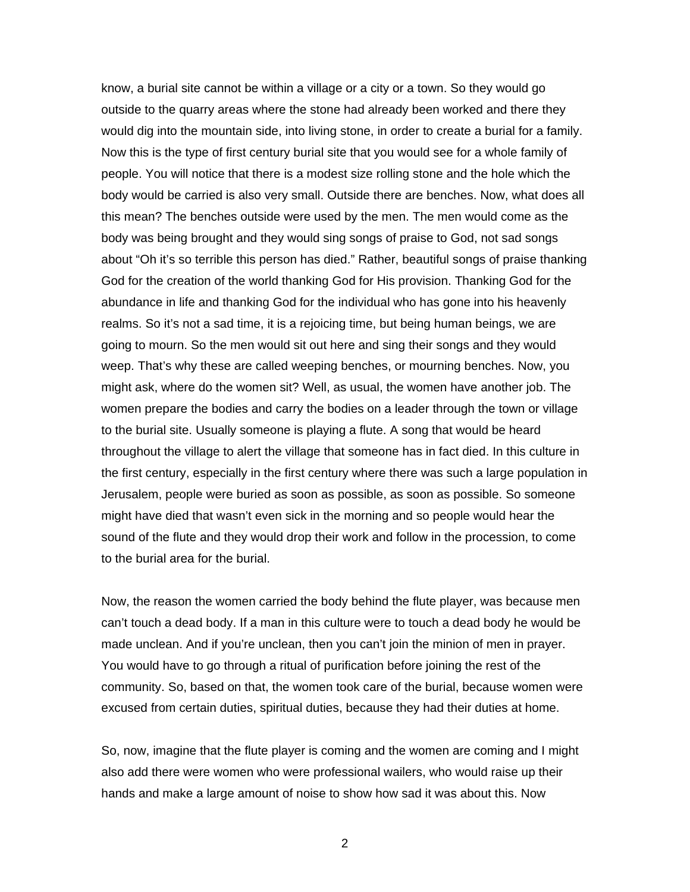know, a burial site cannot be within a village or a city or a town. So they would go outside to the quarry areas where the stone had already been worked and there they would dig into the mountain side, into living stone, in order to create a burial for a family. Now this is the type of first century burial site that you would see for a whole family of people. You will notice that there is a modest size rolling stone and the hole which the body would be carried is also very small. Outside there are benches. Now, what does all this mean? The benches outside were used by the men. The men would come as the body was being brought and they would sing songs of praise to God, not sad songs about "Oh it's so terrible this person has died." Rather, beautiful songs of praise thanking God for the creation of the world thanking God for His provision. Thanking God for the abundance in life and thanking God for the individual who has gone into his heavenly realms. So it's not a sad time, it is a rejoicing time, but being human beings, we are going to mourn. So the men would sit out here and sing their songs and they would weep. That's why these are called weeping benches, or mourning benches. Now, you might ask, where do the women sit? Well, as usual, the women have another job. The women prepare the bodies and carry the bodies on a leader through the town or village to the burial site. Usually someone is playing a flute. A song that would be heard throughout the village to alert the village that someone has in fact died. In this culture in the first century, especially in the first century where there was such a large population in Jerusalem, people were buried as soon as possible, as soon as possible. So someone might have died that wasn't even sick in the morning and so people would hear the sound of the flute and they would drop their work and follow in the procession, to come to the burial area for the burial.

Now, the reason the women carried the body behind the flute player, was because men can't touch a dead body. If a man in this culture were to touch a dead body he would be made unclean. And if you're unclean, then you can't join the minion of men in prayer. You would have to go through a ritual of purification before joining the rest of the community. So, based on that, the women took care of the burial, because women were excused from certain duties, spiritual duties, because they had their duties at home.

So, now, imagine that the flute player is coming and the women are coming and I might also add there were women who were professional wailers, who would raise up their hands and make a large amount of noise to show how sad it was about this. Now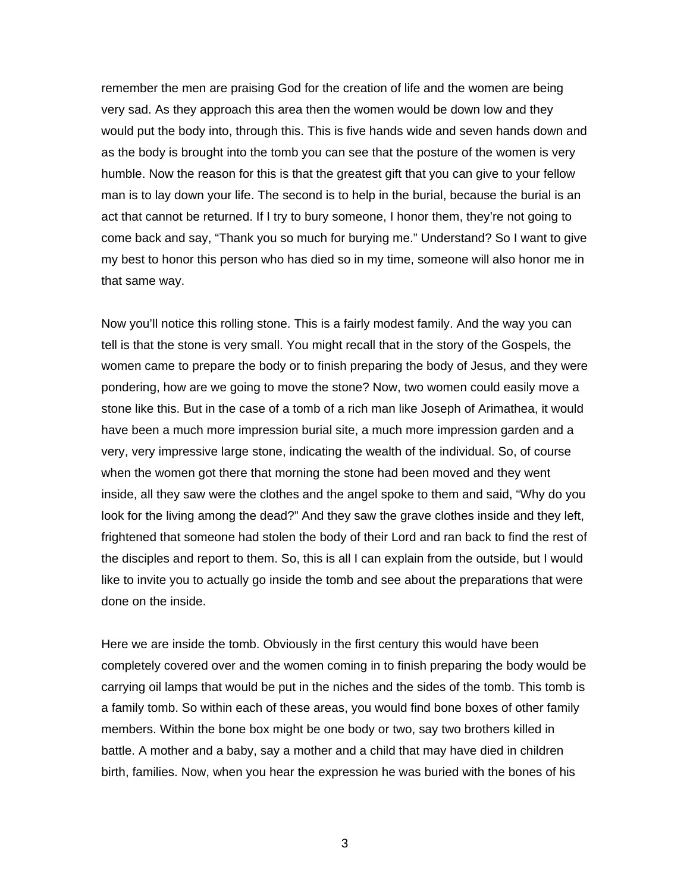remember the men are praising God for the creation of life and the women are being very sad. As they approach this area then the women would be down low and they would put the body into, through this. This is five hands wide and seven hands down and as the body is brought into the tomb you can see that the posture of the women is very humble. Now the reason for this is that the greatest gift that you can give to your fellow man is to lay down your life. The second is to help in the burial, because the burial is an act that cannot be returned. If I try to bury someone, I honor them, they're not going to come back and say, "Thank you so much for burying me." Understand? So I want to give my best to honor this person who has died so in my time, someone will also honor me in that same way.

Now you'll notice this rolling stone. This is a fairly modest family. And the way you can tell is that the stone is very small. You might recall that in the story of the Gospels, the women came to prepare the body or to finish preparing the body of Jesus, and they were pondering, how are we going to move the stone? Now, two women could easily move a stone like this. But in the case of a tomb of a rich man like Joseph of Arimathea, it would have been a much more impression burial site, a much more impression garden and a very, very impressive large stone, indicating the wealth of the individual. So, of course when the women got there that morning the stone had been moved and they went inside, all they saw were the clothes and the angel spoke to them and said, "Why do you look for the living among the dead?" And they saw the grave clothes inside and they left, frightened that someone had stolen the body of their Lord and ran back to find the rest of the disciples and report to them. So, this is all I can explain from the outside, but I would like to invite you to actually go inside the tomb and see about the preparations that were done on the inside.

Here we are inside the tomb. Obviously in the first century this would have been completely covered over and the women coming in to finish preparing the body would be carrying oil lamps that would be put in the niches and the sides of the tomb. This tomb is a family tomb. So within each of these areas, you would find bone boxes of other family members. Within the bone box might be one body or two, say two brothers killed in battle. A mother and a baby, say a mother and a child that may have died in children birth, families. Now, when you hear the expression he was buried with the bones of his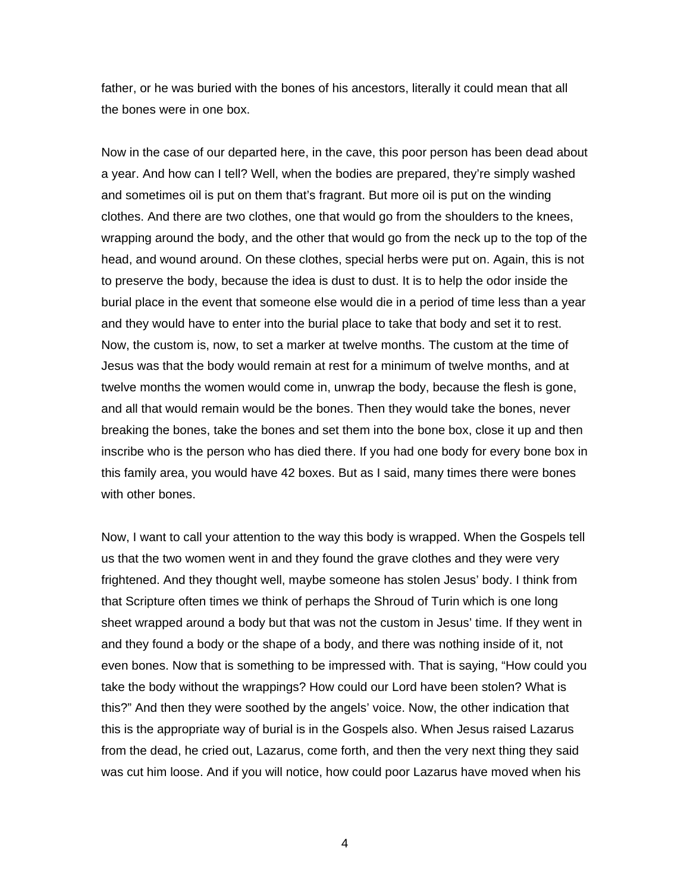father, or he was buried with the bones of his ancestors, literally it could mean that all the bones were in one box.

Now in the case of our departed here, in the cave, this poor person has been dead about a year. And how can I tell? Well, when the bodies are prepared, they're simply washed and sometimes oil is put on them that's fragrant. But more oil is put on the winding clothes. And there are two clothes, one that would go from the shoulders to the knees, wrapping around the body, and the other that would go from the neck up to the top of the head, and wound around. On these clothes, special herbs were put on. Again, this is not to preserve the body, because the idea is dust to dust. It is to help the odor inside the burial place in the event that someone else would die in a period of time less than a year and they would have to enter into the burial place to take that body and set it to rest. Now, the custom is, now, to set a marker at twelve months. The custom at the time of Jesus was that the body would remain at rest for a minimum of twelve months, and at twelve months the women would come in, unwrap the body, because the flesh is gone, and all that would remain would be the bones. Then they would take the bones, never breaking the bones, take the bones and set them into the bone box, close it up and then inscribe who is the person who has died there. If you had one body for every bone box in this family area, you would have 42 boxes. But as I said, many times there were bones with other bones.

Now, I want to call your attention to the way this body is wrapped. When the Gospels tell us that the two women went in and they found the grave clothes and they were very frightened. And they thought well, maybe someone has stolen Jesus' body. I think from that Scripture often times we think of perhaps the Shroud of Turin which is one long sheet wrapped around a body but that was not the custom in Jesus' time. If they went in and they found a body or the shape of a body, and there was nothing inside of it, not even bones. Now that is something to be impressed with. That is saying, "How could you take the body without the wrappings? How could our Lord have been stolen? What is this?" And then they were soothed by the angels' voice. Now, the other indication that this is the appropriate way of burial is in the Gospels also. When Jesus raised Lazarus from the dead, he cried out, Lazarus, come forth, and then the very next thing they said was cut him loose. And if you will notice, how could poor Lazarus have moved when his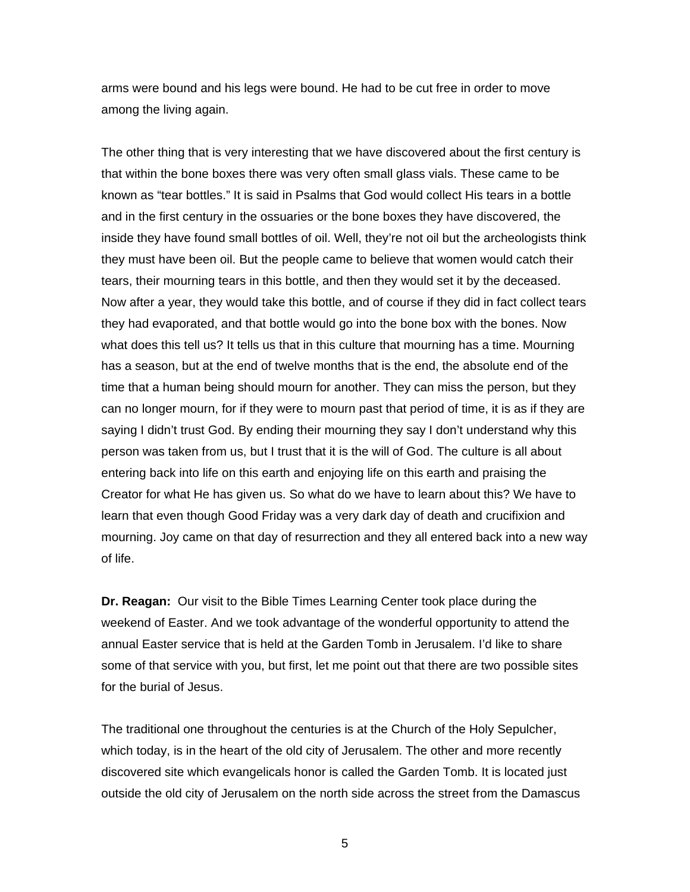arms were bound and his legs were bound. He had to be cut free in order to move among the living again.

The other thing that is very interesting that we have discovered about the first century is that within the bone boxes there was very often small glass vials. These came to be known as "tear bottles." It is said in Psalms that God would collect His tears in a bottle and in the first century in the ossuaries or the bone boxes they have discovered, the inside they have found small bottles of oil. Well, they're not oil but the archeologists think they must have been oil. But the people came to believe that women would catch their tears, their mourning tears in this bottle, and then they would set it by the deceased. Now after a year, they would take this bottle, and of course if they did in fact collect tears they had evaporated, and that bottle would go into the bone box with the bones. Now what does this tell us? It tells us that in this culture that mourning has a time. Mourning has a season, but at the end of twelve months that is the end, the absolute end of the time that a human being should mourn for another. They can miss the person, but they can no longer mourn, for if they were to mourn past that period of time, it is as if they are saying I didn't trust God. By ending their mourning they say I don't understand why this person was taken from us, but I trust that it is the will of God. The culture is all about entering back into life on this earth and enjoying life on this earth and praising the Creator for what He has given us. So what do we have to learn about this? We have to learn that even though Good Friday was a very dark day of death and crucifixion and mourning. Joy came on that day of resurrection and they all entered back into a new way of life.

**Dr. Reagan:** Our visit to the Bible Times Learning Center took place during the weekend of Easter. And we took advantage of the wonderful opportunity to attend the annual Easter service that is held at the Garden Tomb in Jerusalem. I'd like to share some of that service with you, but first, let me point out that there are two possible sites for the burial of Jesus.

The traditional one throughout the centuries is at the Church of the Holy Sepulcher, which today, is in the heart of the old city of Jerusalem. The other and more recently discovered site which evangelicals honor is called the Garden Tomb. It is located just outside the old city of Jerusalem on the north side across the street from the Damascus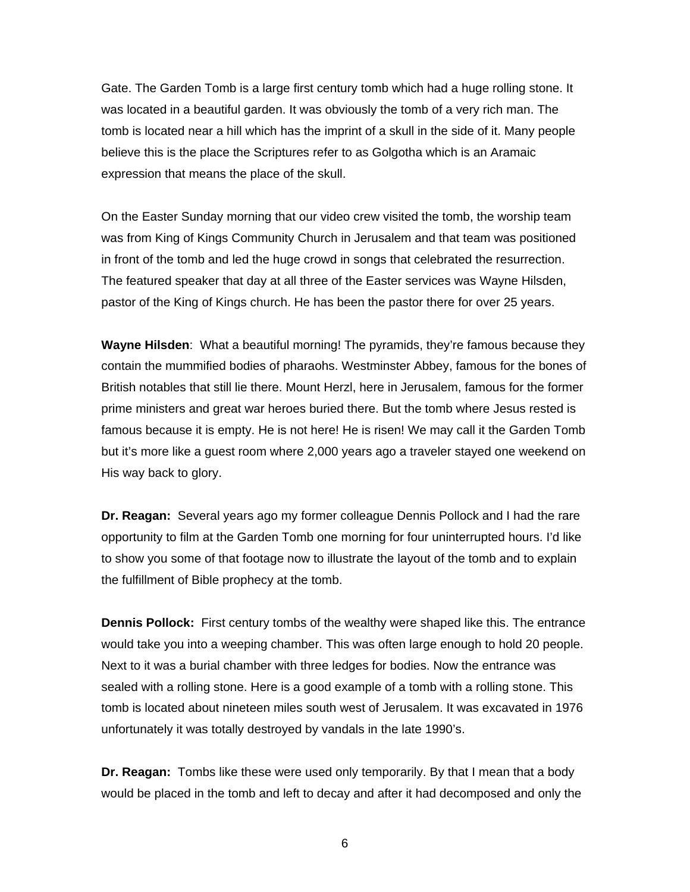Gate. The Garden Tomb is a large first century tomb which had a huge rolling stone. It was located in a beautiful garden. It was obviously the tomb of a very rich man. The tomb is located near a hill which has the imprint of a skull in the side of it. Many people believe this is the place the Scriptures refer to as Golgotha which is an Aramaic expression that means the place of the skull.

On the Easter Sunday morning that our video crew visited the tomb, the worship team was from King of Kings Community Church in Jerusalem and that team was positioned in front of the tomb and led the huge crowd in songs that celebrated the resurrection. The featured speaker that day at all three of the Easter services was Wayne Hilsden, pastor of the King of Kings church. He has been the pastor there for over 25 years.

**Wayne Hilsden**: What a beautiful morning! The pyramids, they're famous because they contain the mummified bodies of pharaohs. Westminster Abbey, famous for the bones of British notables that still lie there. Mount Herzl, here in Jerusalem, famous for the former prime ministers and great war heroes buried there. But the tomb where Jesus rested is famous because it is empty. He is not here! He is risen! We may call it the Garden Tomb but it's more like a guest room where 2,000 years ago a traveler stayed one weekend on His way back to glory.

**Dr. Reagan:** Several years ago my former colleague Dennis Pollock and I had the rare opportunity to film at the Garden Tomb one morning for four uninterrupted hours. I'd like to show you some of that footage now to illustrate the layout of the tomb and to explain the fulfillment of Bible prophecy at the tomb.

**Dennis Pollock:** First century tombs of the wealthy were shaped like this. The entrance would take you into a weeping chamber. This was often large enough to hold 20 people. Next to it was a burial chamber with three ledges for bodies. Now the entrance was sealed with a rolling stone. Here is a good example of a tomb with a rolling stone. This tomb is located about nineteen miles south west of Jerusalem. It was excavated in 1976 unfortunately it was totally destroyed by vandals in the late 1990's.

**Dr. Reagan:** Tombs like these were used only temporarily. By that I mean that a body would be placed in the tomb and left to decay and after it had decomposed and only the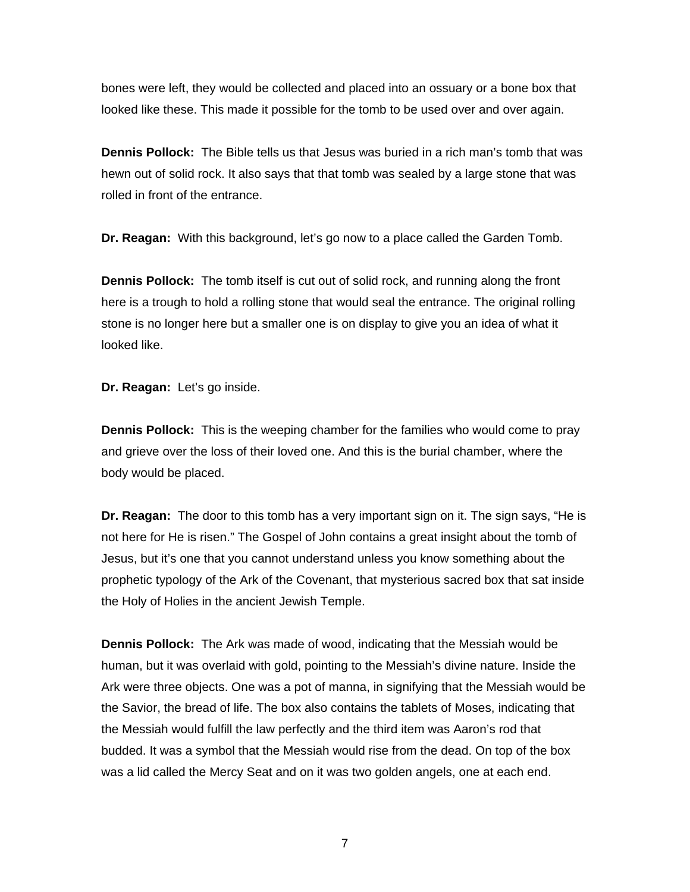bones were left, they would be collected and placed into an ossuary or a bone box that looked like these. This made it possible for the tomb to be used over and over again.

**Dennis Pollock:** The Bible tells us that Jesus was buried in a rich man's tomb that was hewn out of solid rock. It also says that that tomb was sealed by a large stone that was rolled in front of the entrance.

**Dr. Reagan:** With this background, let's go now to a place called the Garden Tomb.

**Dennis Pollock:** The tomb itself is cut out of solid rock, and running along the front here is a trough to hold a rolling stone that would seal the entrance. The original rolling stone is no longer here but a smaller one is on display to give you an idea of what it looked like.

**Dr. Reagan:** Let's go inside.

**Dennis Pollock:** This is the weeping chamber for the families who would come to pray and grieve over the loss of their loved one. And this is the burial chamber, where the body would be placed.

**Dr. Reagan:** The door to this tomb has a very important sign on it. The sign says, "He is not here for He is risen." The Gospel of John contains a great insight about the tomb of Jesus, but it's one that you cannot understand unless you know something about the prophetic typology of the Ark of the Covenant, that mysterious sacred box that sat inside the Holy of Holies in the ancient Jewish Temple.

**Dennis Pollock:** The Ark was made of wood, indicating that the Messiah would be human, but it was overlaid with gold, pointing to the Messiah's divine nature. Inside the Ark were three objects. One was a pot of manna, in signifying that the Messiah would be the Savior, the bread of life. The box also contains the tablets of Moses, indicating that the Messiah would fulfill the law perfectly and the third item was Aaron's rod that budded. It was a symbol that the Messiah would rise from the dead. On top of the box was a lid called the Mercy Seat and on it was two golden angels, one at each end.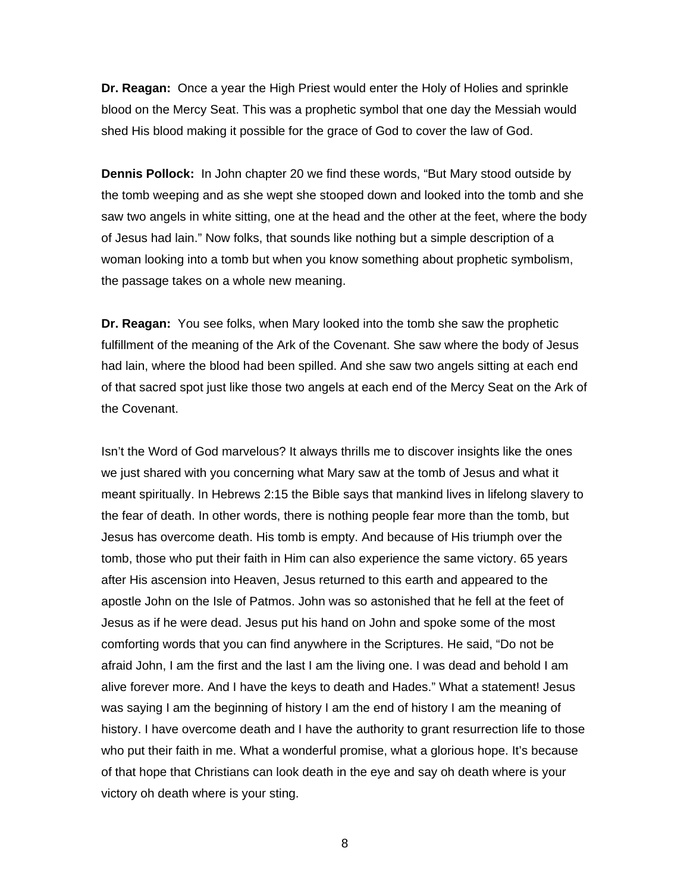**Dr. Reagan:** Once a year the High Priest would enter the Holy of Holies and sprinkle blood on the Mercy Seat. This was a prophetic symbol that one day the Messiah would shed His blood making it possible for the grace of God to cover the law of God.

**Dennis Pollock:** In John chapter 20 we find these words, "But Mary stood outside by the tomb weeping and as she wept she stooped down and looked into the tomb and she saw two angels in white sitting, one at the head and the other at the feet, where the body of Jesus had lain." Now folks, that sounds like nothing but a simple description of a woman looking into a tomb but when you know something about prophetic symbolism, the passage takes on a whole new meaning.

**Dr. Reagan:** You see folks, when Mary looked into the tomb she saw the prophetic fulfillment of the meaning of the Ark of the Covenant. She saw where the body of Jesus had lain, where the blood had been spilled. And she saw two angels sitting at each end of that sacred spot just like those two angels at each end of the Mercy Seat on the Ark of the Covenant.

Isn't the Word of God marvelous? It always thrills me to discover insights like the ones we just shared with you concerning what Mary saw at the tomb of Jesus and what it meant spiritually. In Hebrews 2:15 the Bible says that mankind lives in lifelong slavery to the fear of death. In other words, there is nothing people fear more than the tomb, but Jesus has overcome death. His tomb is empty. And because of His triumph over the tomb, those who put their faith in Him can also experience the same victory. 65 years after His ascension into Heaven, Jesus returned to this earth and appeared to the apostle John on the Isle of Patmos. John was so astonished that he fell at the feet of Jesus as if he were dead. Jesus put his hand on John and spoke some of the most comforting words that you can find anywhere in the Scriptures. He said, "Do not be afraid John, I am the first and the last I am the living one. I was dead and behold I am alive forever more. And I have the keys to death and Hades." What a statement! Jesus was saying I am the beginning of history I am the end of history I am the meaning of history. I have overcome death and I have the authority to grant resurrection life to those who put their faith in me. What a wonderful promise, what a glorious hope. It's because of that hope that Christians can look death in the eye and say oh death where is your victory oh death where is your sting.